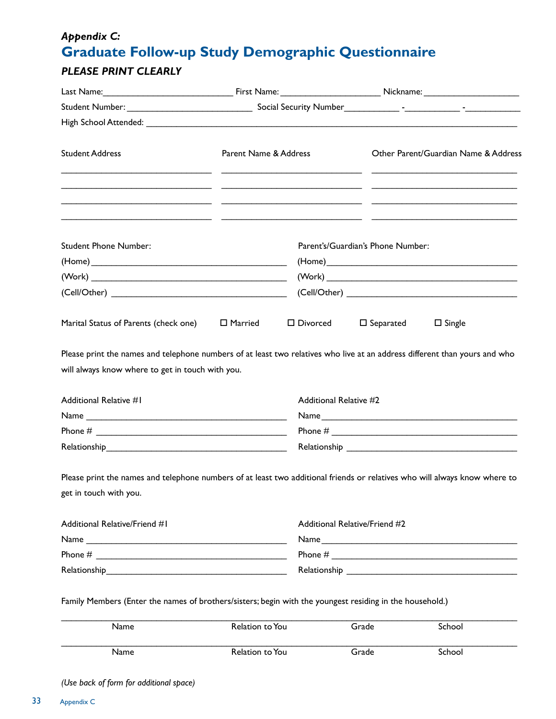## *Appendix C:* **Graduate Follow-up Study Demographic Questionnaire**

## *PLEASE PRINT CLEARLY*

| <b>Student Address</b>                                                                                                                               | Parent Name & Address |                                                                                                                                                                                                                                                                                                                       |                                   | Other Parent/Guardian Name & Address |  |
|------------------------------------------------------------------------------------------------------------------------------------------------------|-----------------------|-----------------------------------------------------------------------------------------------------------------------------------------------------------------------------------------------------------------------------------------------------------------------------------------------------------------------|-----------------------------------|--------------------------------------|--|
|                                                                                                                                                      |                       |                                                                                                                                                                                                                                                                                                                       |                                   |                                      |  |
| <b>Student Phone Number:</b>                                                                                                                         |                       |                                                                                                                                                                                                                                                                                                                       | Parent's/Guardian's Phone Number: |                                      |  |
|                                                                                                                                                      |                       |                                                                                                                                                                                                                                                                                                                       |                                   |                                      |  |
|                                                                                                                                                      |                       |                                                                                                                                                                                                                                                                                                                       |                                   |                                      |  |
|                                                                                                                                                      |                       |                                                                                                                                                                                                                                                                                                                       |                                   |                                      |  |
| Marital Status of Parents (check one)                                                                                                                | $\Box$ Married        | $\square$ Divorced                                                                                                                                                                                                                                                                                                    | $\square$ Separated               | $\Box$ Single                        |  |
| Additional Relative #1                                                                                                                               |                       | Additional Relative #2                                                                                                                                                                                                                                                                                                |                                   |                                      |  |
|                                                                                                                                                      |                       | Phone # $\frac{1}{2}$ $\frac{1}{2}$ $\frac{1}{2}$ $\frac{1}{2}$ $\frac{1}{2}$ $\frac{1}{2}$ $\frac{1}{2}$ $\frac{1}{2}$ $\frac{1}{2}$ $\frac{1}{2}$ $\frac{1}{2}$ $\frac{1}{2}$ $\frac{1}{2}$ $\frac{1}{2}$ $\frac{1}{2}$ $\frac{1}{2}$ $\frac{1}{2}$ $\frac{1}{2}$ $\frac{1}{2}$ $\frac{1}{2}$ $\frac{1}{2}$ $\frac$ |                                   |                                      |  |
|                                                                                                                                                      |                       |                                                                                                                                                                                                                                                                                                                       |                                   |                                      |  |
| Please print the names and telephone numbers of at least two additional friends or relatives who will always know where to<br>get in touch with you. |                       |                                                                                                                                                                                                                                                                                                                       |                                   |                                      |  |
| Additional Relative/Friend #1                                                                                                                        |                       | Additional Relative/Friend #2                                                                                                                                                                                                                                                                                         |                                   |                                      |  |
|                                                                                                                                                      |                       |                                                                                                                                                                                                                                                                                                                       | Name                              |                                      |  |
|                                                                                                                                                      |                       |                                                                                                                                                                                                                                                                                                                       |                                   |                                      |  |
|                                                                                                                                                      |                       |                                                                                                                                                                                                                                                                                                                       |                                   |                                      |  |
| Family Members (Enter the names of brothers/sisters; begin with the youngest residing in the household.)                                             |                       |                                                                                                                                                                                                                                                                                                                       |                                   |                                      |  |
| Name                                                                                                                                                 | Relation to You       |                                                                                                                                                                                                                                                                                                                       | Grade                             |                                      |  |

Name School Relation to You Grade School Grame School

*(Use back of form for additional space)*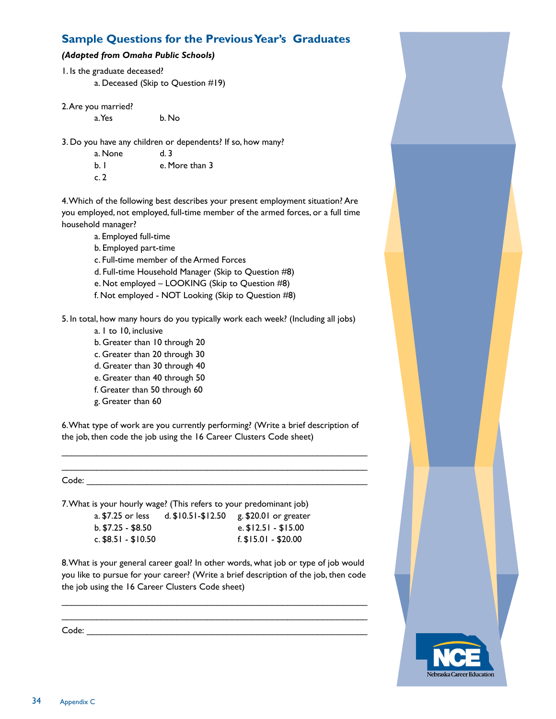## **Sample Questions for the Previous Year's Graduates**

## *(Adapted from Omaha Public Schools)*

- 1. Is the graduate deceased? a. Deceased (Skip to Question #19)
- 2. Are you married?

a. Yes b. No

3. Do you have any children or dependents? If so, how many?

| a. None | d. 3           |
|---------|----------------|
| b.1     | e. More than 3 |
| c.2     |                |

4. Which of the following best describes your present employment situation? Are you employed, not employed, full-time member of the armed forces, or a full time household manager?

a. Employed full-time

- b. Employed part-time
- c. Full-time member of the Armed Forces
- d. Full-time Household Manager (Skip to Question #8)
- e. Not employed LOOKING (Skip to Question #8)
- f. Not employed NOT Looking (Skip to Question #8)

5. In total, how many hours do you typically work each week? (Including all jobs)

- a. 1 to 10, inclusive
- b. Greater than 10 through 20
- c. Greater than 20 through 30
- d. Greater than 30 through 40
- e. Greater than 40 through 50
- f. Greater than 50 through 60
- g. Greater than 60

6. What type of work are you currently performing? (Write a brief description of the job, then code the job using the 16 Career Clusters Code sheet)

\_\_\_\_\_\_\_\_\_\_\_\_\_\_\_\_\_\_\_\_\_\_\_\_\_\_\_\_\_\_\_\_\_\_\_\_\_\_\_\_\_\_\_\_\_\_\_\_\_\_\_\_\_\_\_\_\_\_\_\_\_ \_\_\_\_\_\_\_\_\_\_\_\_\_\_\_\_\_\_\_\_\_\_\_\_\_\_\_\_\_\_\_\_\_\_\_\_\_\_\_\_\_\_\_\_\_\_\_\_\_\_\_\_\_\_\_\_\_\_\_\_\_

 $Code:$ 

7. What is your hourly wage? (This refers to your predominant job) a. \$7.25 or less d. \$10.51-\$12.50 g. \$20.01 or greater

| a. D. ZJ OF IESS    | $U, \mathcal{P} \cup \mathcal{P} \cup \mathcal{P} \cup \mathcal{P} \cup \mathcal{P}$ | g. p20.01 or great     |
|---------------------|--------------------------------------------------------------------------------------|------------------------|
| b. \$7.25 - \$8.50  |                                                                                      | e. $$12.51 - $15.00$   |
| c. \$8.51 - \$10.50 |                                                                                      | $f.$ \$15.01 - \$20.00 |
|                     |                                                                                      |                        |

8. What is your general career goal? In other words, what job or type of job would you like to pursue for your career? (Write a brief description of the job, then code the job using the 16 Career Clusters Code sheet)

\_\_\_\_\_\_\_\_\_\_\_\_\_\_\_\_\_\_\_\_\_\_\_\_\_\_\_\_\_\_\_\_\_\_\_\_\_\_\_\_\_\_\_\_\_\_\_\_\_\_\_\_\_\_\_\_\_\_\_\_\_ \_\_\_\_\_\_\_\_\_\_\_\_\_\_\_\_\_\_\_\_\_\_\_\_\_\_\_\_\_\_\_\_\_\_\_\_\_\_\_\_\_\_\_\_\_\_\_\_\_\_\_\_\_\_\_\_\_\_\_\_\_

Code: \_\_\_\_\_\_\_\_\_\_\_\_\_\_\_\_\_\_\_\_\_\_\_\_\_\_\_\_\_\_\_\_\_\_\_\_\_\_\_\_\_\_\_\_\_\_\_\_\_\_\_\_\_\_\_\_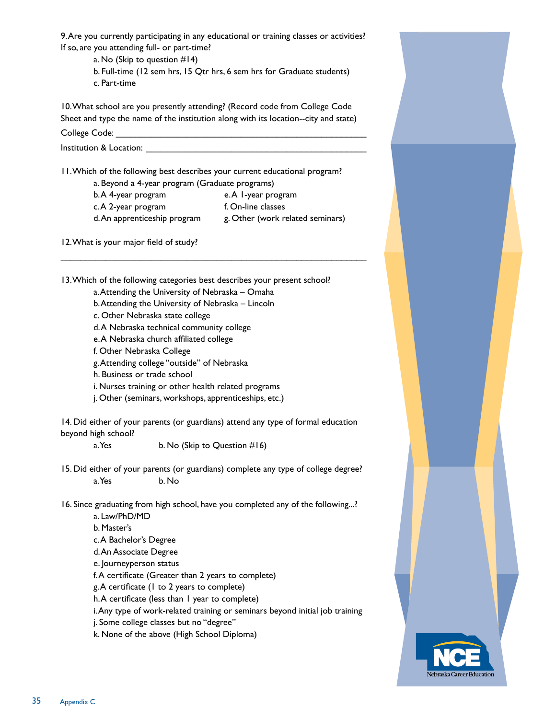9. Are you currently participating in any educational or training classes or activities? If so, are you attending full- or part-time?

a. No (Skip to question #14) b. Full-time (12 sem hrs, 15 Qtr hrs, 6 sem hrs for Graduate students) c. Part-time

10. What school are you presently attending? (Record code from College Code Sheet and type the name of the institution along with its location--city and state)

College Code:

Institution & Location:

11. Which of the following best describes your current educational program? a. Beyond a 4-year program (Graduate programs)

- b. A 4-year program e. A 1-year program c. A 2-year program f. On-line classes
- d. An apprenticeship program g. Other (work related seminars)

12. What is your major field of study?

13. Which of the following categories best describes your present school? a. Attending the University of Nebraska – Omaha

\_\_\_\_\_\_\_\_\_\_\_\_\_\_\_\_\_\_\_\_\_\_\_\_\_\_\_\_\_\_\_\_\_\_\_\_\_\_\_\_\_\_\_\_\_\_\_\_\_\_\_\_\_\_\_\_\_\_\_\_\_

- b. Attending the University of Nebraska Lincoln
- c. Other Nebraska state college
- d. A Nebraska technical community college
- e. A Nebraska church affiliated college
- f. Other Nebraska College
- g. Attending college "outside" of Nebraska
- h. Business or trade school
- i. Nurses training or other health related programs
- j. Other (seminars, workshops, apprenticeships, etc.)

14. Did either of your parents (or guardians) attend any type of formal education beyond high school?

a. Yes b. No (Skip to Question  $#16$ )

15. Did either of your parents (or guardians) complete any type of college degree? a. Yes b. No

16. Since graduating from high school, have you completed any of the following...?

a. Law/PhD/MD b. Master's c. A Bachelor's Degree d. An Associate Degree e. Journeyperson status f. A certificate (Greater than 2 years to complete) g. A certificate (1 to 2 years to complete) h. A certificate (less than 1 year to complete) i. Any type of work-related training or seminars beyond initial job training j. Some college classes but no "degree" k. None of the above (High School Diploma)